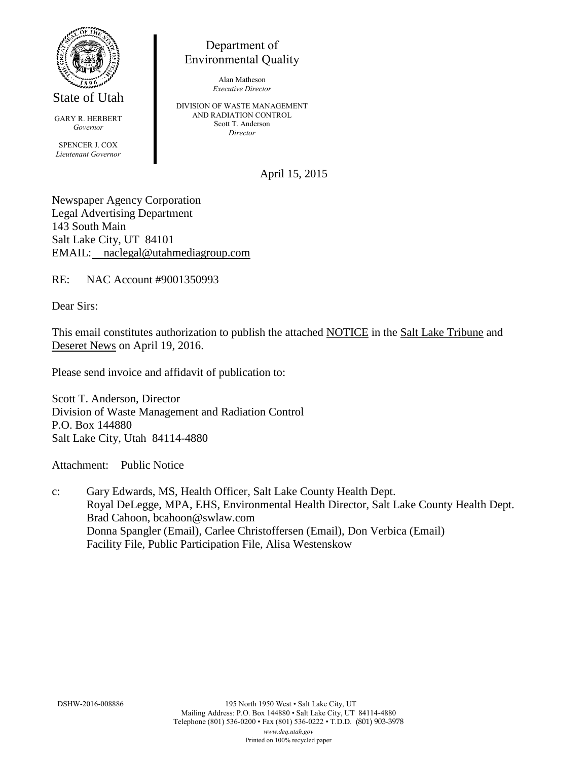

State of Utah

GARY R. HERBERT *Governor* SPENCER J. COX *Lieutenant Governor*

Department of Environmental Quality

> Alan Matheson *Executive Director*

DIVISION OF WASTE MANAGEMENT AND RADIATION CONTROL Scott T. Anderson *Director*

April 15, 2015

Newspaper Agency Corporation Legal Advertising Department 143 South Main Salt Lake City, UT 84101 EMAIL: naclegal@utahmediagroup.com

RE: NAC Account #9001350993

Dear Sirs:

This email constitutes authorization to publish the attached NOTICE in the Salt Lake Tribune and Deseret News on April 19, 2016.

Please send invoice and affidavit of publication to:

Scott T. Anderson, Director Division of Waste Management and Radiation Control P.O. Box 144880 Salt Lake City, Utah 84114-4880

Attachment: Public Notice

c: Gary Edwards, MS, Health Officer, Salt Lake County Health Dept. Royal DeLegge, MPA, EHS, Environmental Health Director, Salt Lake County Health Dept. Brad Cahoon, bcahoon@swlaw.com Donna Spangler (Email), Carlee Christoffersen (Email), Don Verbica (Email) Facility File, Public Participation File, Alisa Westenskow